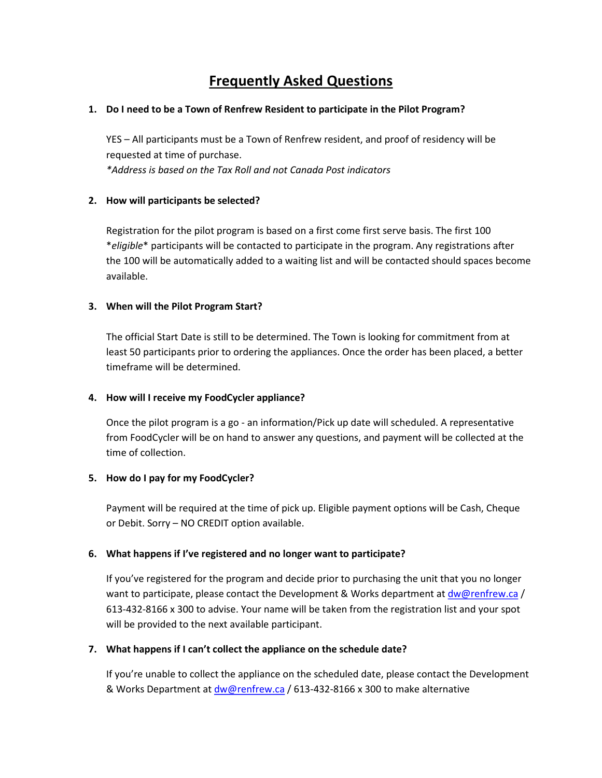# **Frequently Asked Questions**

#### **1. Do I need to be a Town of Renfrew Resident to participate in the Pilot Program?**

YES – All participants must be a Town of Renfrew resident, and proof of residency will be requested at time of purchase.

*\*Address is based on the Tax Roll and not Canada Post indicators*

### **2. How will participants be selected?**

Registration for the pilot program is based on a first come first serve basis. The first 100 \**eligible*\* participants will be contacted to participate in the program. Any registrations after the 100 will be automatically added to a waiting list and will be contacted should spaces become available.

## **3. When will the Pilot Program Start?**

The official Start Date is still to be determined. The Town is looking for commitment from at least 50 participants prior to ordering the appliances. Once the order has been placed, a better timeframe will be determined.

## **4. How will I receive my FoodCycler appliance?**

Once the pilot program is a go - an information/Pick up date will scheduled. A representative from FoodCycler will be on hand to answer any questions, and payment will be collected at the time of collection.

#### **5. How do I pay for my FoodCycler?**

Payment will be required at the time of pick up. Eligible payment options will be Cash, Cheque or Debit. Sorry – NO CREDIT option available.

#### **6. What happens if I've registered and no longer want to participate?**

If you've registered for the program and decide prior to purchasing the unit that you no longer want to participate, please contact the Development & Works department at [dw@renfrew.ca](mailto:dw@renfrew.ca) / 613-432-8166 x 300 to advise. Your name will be taken from the registration list and your spot will be provided to the next available participant.

#### **7. What happens if I can't collect the appliance on the schedule date?**

If you're unable to collect the appliance on the scheduled date, please contact the Development & Works Department at [dw@renfrew.ca](mailto:dw@renfrew.ca) / 613-432-8166 x 300 to make alternative